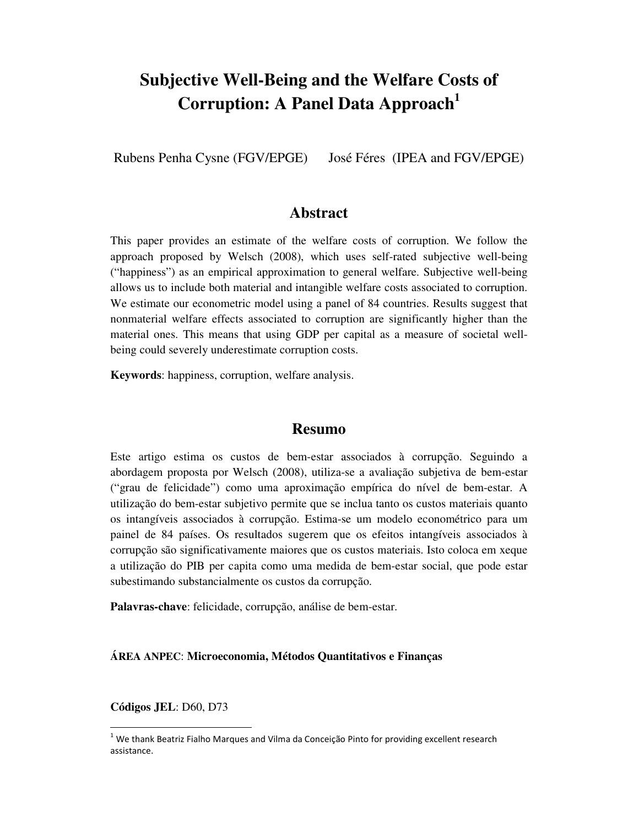# **Subjective Well-Being and the Welfare Costs of Corruption: A Panel Data Approach<sup>1</sup>**

Rubens Penha Cysne (FGV/EPGE) José Féres (IPEA and FGV/EPGE)

# **Abstract**

This paper provides an estimate of the welfare costs of corruption. We follow the approach proposed by Welsch (2008), which uses self-rated subjective well-being ("happiness") as an empirical approximation to general welfare. Subjective well-being allows us to include both material and intangible welfare costs associated to corruption. We estimate our econometric model using a panel of 84 countries. Results suggest that nonmaterial welfare effects associated to corruption are significantly higher than the material ones. This means that using GDP per capital as a measure of societal wellbeing could severely underestimate corruption costs.

**Keywords**: happiness, corruption, welfare analysis.

# **Resumo**

Este artigo estima os custos de bem-estar associados à corrupção. Seguindo a abordagem proposta por Welsch (2008), utiliza-se a avaliação subjetiva de bem-estar ("grau de felicidade") como uma aproximação empírica do nível de bem-estar. A utilização do bem-estar subjetivo permite que se inclua tanto os custos materiais quanto os intangíveis associados à corrupção. Estima-se um modelo econométrico para um painel de 84 países. Os resultados sugerem que os efeitos intangíveis associados à corrupção são significativamente maiores que os custos materiais. Isto coloca em xeque a utilização do PIB per capita como uma medida de bem-estar social, que pode estar subestimando substancialmente os custos da corrupção.

**Palavras-chave**: felicidade, corrupção, análise de bem-estar.

#### **ÁREA ANPEC**: **Microeconomia, Métodos Quantitativos e Finanças**

**Códigos JEL**: D60, D73

l

 $^{1}$  We thank Beatriz Fialho Marques and Vilma da Conceição Pinto for providing excellent research assistance.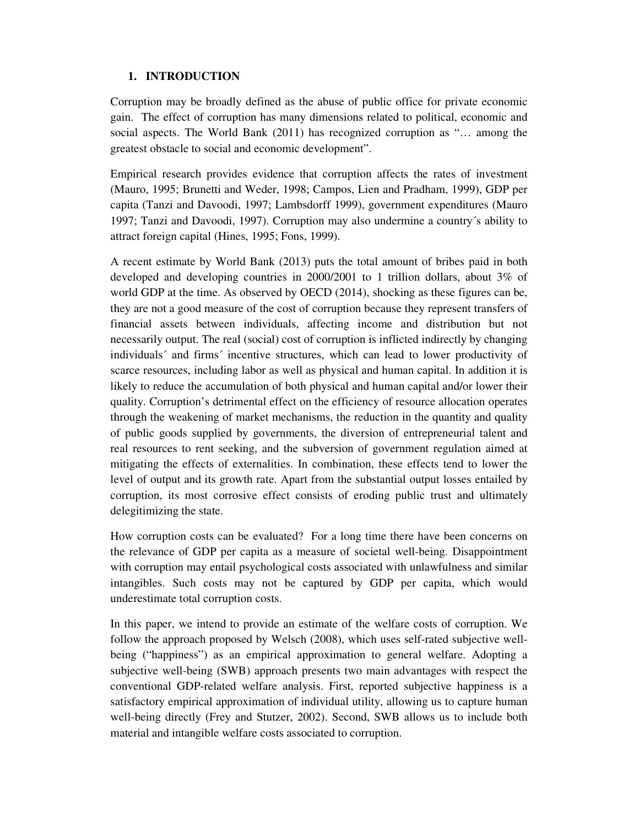# **1. INTRODUCTION**

Corruption may be broadly defined as the abuse of public office for private economic gain. The effect of corruption has many dimensions related to political, economic and social aspects. The World Bank (2011) has recognized corruption as "… among the greatest obstacle to social and economic development".

Empirical research provides evidence that corruption affects the rates of investment (Mauro, 1995; Brunetti and Weder, 1998; Campos, Lien and Pradham, 1999), GDP per capita (Tanzi and Davoodi, 1997; Lambsdorff 1999), government expenditures (Mauro 1997; Tanzi and Davoodi, 1997). Corruption may also undermine a country´s ability to attract foreign capital (Hines, 1995; Fons, 1999).

A recent estimate by World Bank (2013) puts the total amount of bribes paid in both developed and developing countries in 2000/2001 to 1 trillion dollars, about 3% of world GDP at the time. As observed by OECD (2014), shocking as these figures can be, they are not a good measure of the cost of corruption because they represent transfers of financial assets between individuals, affecting income and distribution but not necessarily output. The real (social) cost of corruption is inflicted indirectly by changing individuals´ and firms´ incentive structures, which can lead to lower productivity of scarce resources, including labor as well as physical and human capital. In addition it is likely to reduce the accumulation of both physical and human capital and/or lower their quality. Corruption's detrimental effect on the efficiency of resource allocation operates through the weakening of market mechanisms, the reduction in the quantity and quality of public goods supplied by governments, the diversion of entrepreneurial talent and real resources to rent seeking, and the subversion of government regulation aimed at mitigating the effects of externalities. In combination, these effects tend to lower the level of output and its growth rate. Apart from the substantial output losses entailed by corruption, its most corrosive effect consists of eroding public trust and ultimately delegitimizing the state.

How corruption costs can be evaluated? For a long time there have been concerns on the relevance of GDP per capita as a measure of societal well-being. Disappointment with corruption may entail psychological costs associated with unlawfulness and similar intangibles. Such costs may not be captured by GDP per capita, which would underestimate total corruption costs.

In this paper, we intend to provide an estimate of the welfare costs of corruption. We follow the approach proposed by Welsch (2008), which uses self-rated subjective wellbeing ("happiness") as an empirical approximation to general welfare. Adopting a subjective well-being (SWB) approach presents two main advantages with respect the conventional GDP-related welfare analysis. First, reported subjective happiness is a satisfactory empirical approximation of individual utility, allowing us to capture human well-being directly (Frey and Stutzer, 2002). Second, SWB allows us to include both material and intangible welfare costs associated to corruption.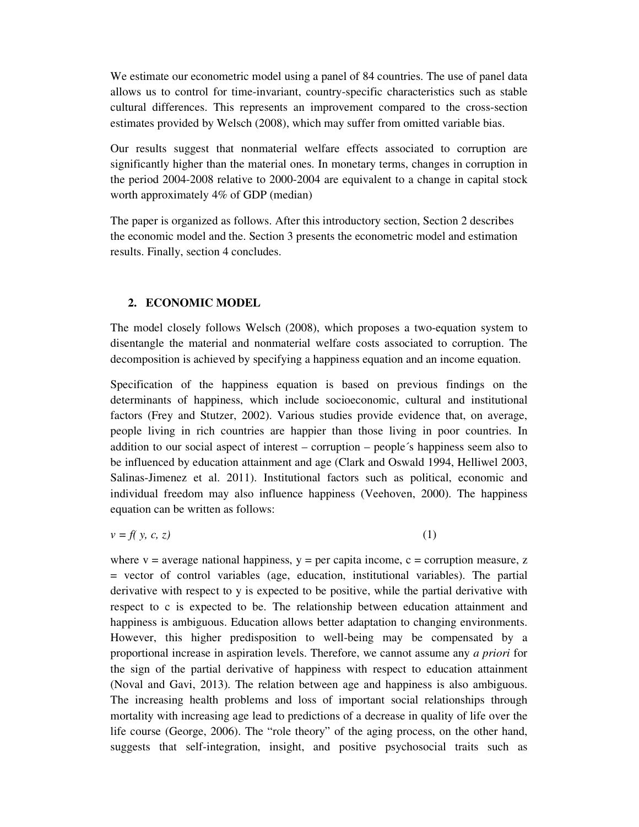We estimate our econometric model using a panel of 84 countries. The use of panel data allows us to control for time-invariant, country-specific characteristics such as stable cultural differences. This represents an improvement compared to the cross-section estimates provided by Welsch (2008), which may suffer from omitted variable bias.

Our results suggest that nonmaterial welfare effects associated to corruption are significantly higher than the material ones. In monetary terms, changes in corruption in the period 2004-2008 relative to 2000-2004 are equivalent to a change in capital stock worth approximately 4% of GDP (median)

The paper is organized as follows. After this introductory section, Section 2 describes the economic model and the. Section 3 presents the econometric model and estimation results. Finally, section 4 concludes.

# **2. ECONOMIC MODEL**

The model closely follows Welsch (2008), which proposes a two-equation system to disentangle the material and nonmaterial welfare costs associated to corruption. The decomposition is achieved by specifying a happiness equation and an income equation.

Specification of the happiness equation is based on previous findings on the determinants of happiness, which include socioeconomic, cultural and institutional factors (Frey and Stutzer, 2002). Various studies provide evidence that, on average, people living in rich countries are happier than those living in poor countries. In addition to our social aspect of interest – corruption – people´s happiness seem also to be influenced by education attainment and age (Clark and Oswald 1994, Helliwel 2003, Salinas-Jimenez et al. 2011). Institutional factors such as political, economic and individual freedom may also influence happiness (Veehoven, 2000). The happiness equation can be written as follows:

$$
v = f(y, c, z) \tag{1}
$$

where  $v =$  average national happiness,  $y =$  per capita income,  $c =$  corruption measure, z = vector of control variables (age, education, institutional variables). The partial derivative with respect to y is expected to be positive, while the partial derivative with respect to c is expected to be. The relationship between education attainment and happiness is ambiguous. Education allows better adaptation to changing environments. However, this higher predisposition to well-being may be compensated by a proportional increase in aspiration levels. Therefore, we cannot assume any *a priori* for the sign of the partial derivative of happiness with respect to education attainment (Noval and Gavi, 2013). The relation between age and happiness is also ambiguous. The increasing health problems and loss of important social relationships through mortality with increasing age lead to predictions of a decrease in quality of life over the life course (George, 2006). The "role theory" of the aging process, on the other hand, suggests that self-integration, insight, and positive psychosocial traits such as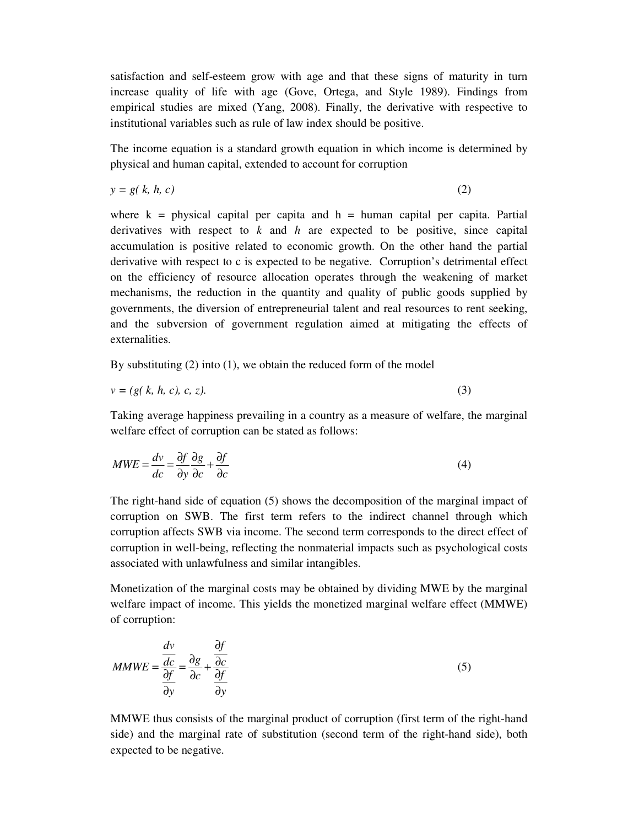satisfaction and self-esteem grow with age and that these signs of maturity in turn increase quality of life with age (Gove, Ortega, and Style 1989). Findings from empirical studies are mixed (Yang, 2008). Finally, the derivative with respective to institutional variables such as rule of law index should be positive.

The income equation is a standard growth equation in which income is determined by physical and human capital, extended to account for corruption

$$
y = g(k, h, c) \tag{2}
$$

where  $k = physical$  capital per capita and  $h = human$  capital per capita. Partial derivatives with respect to *k* and *h* are expected to be positive, since capital accumulation is positive related to economic growth. On the other hand the partial derivative with respect to c is expected to be negative. Corruption's detrimental effect on the efficiency of resource allocation operates through the weakening of market mechanisms, the reduction in the quantity and quality of public goods supplied by governments, the diversion of entrepreneurial talent and real resources to rent seeking, and the subversion of government regulation aimed at mitigating the effects of externalities.

By substituting (2) into (1), we obtain the reduced form of the model

$$
v = (g(k, h, c), c, z). \tag{3}
$$

Taking average happiness prevailing in a country as a measure of welfare, the marginal welfare effect of corruption can be stated as follows:

$$
MWE = \frac{dv}{dc} = \frac{\partial f}{\partial y}\frac{\partial g}{\partial c} + \frac{\partial f}{\partial c}
$$
(4)

The right-hand side of equation (5) shows the decomposition of the marginal impact of corruption on SWB. The first term refers to the indirect channel through which corruption affects SWB via income. The second term corresponds to the direct effect of corruption in well-being, reflecting the nonmaterial impacts such as psychological costs associated with unlawfulness and similar intangibles.

Monetization of the marginal costs may be obtained by dividing MWE by the marginal welfare impact of income. This yields the monetized marginal welfare effect (MMWE) of corruption:

$$
MMWE = \frac{\frac{dv}{dc}}{\frac{\partial f}{\partial y}} = \frac{\frac{\partial g}{\partial x}}{\frac{\partial c}{\partial y}} + \frac{\frac{\partial f}{\partial c}}{\frac{\partial f}{\partial y}}
$$
(5)

MMWE thus consists of the marginal product of corruption (first term of the right-hand side) and the marginal rate of substitution (second term of the right-hand side), both expected to be negative.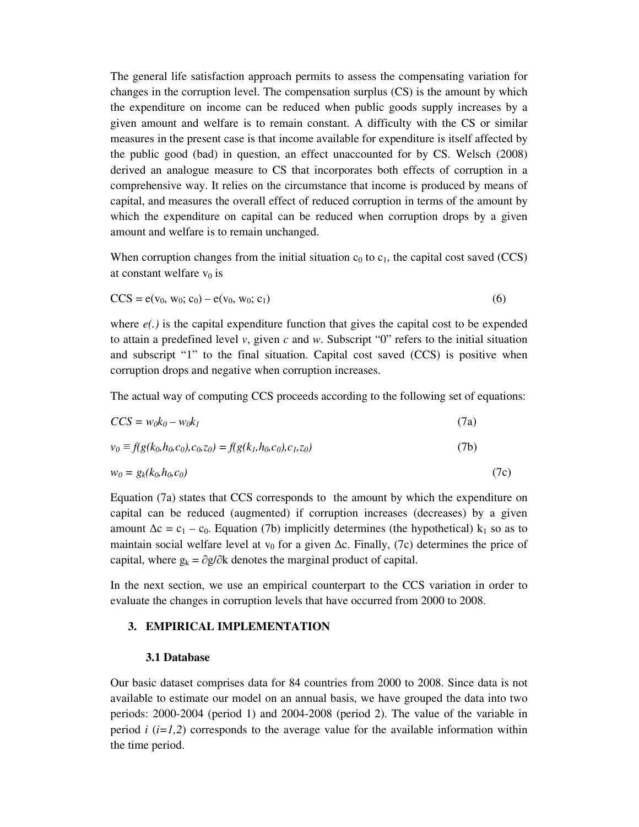The general life satisfaction approach permits to assess the compensating variation for changes in the corruption level. The compensation surplus (CS) is the amount by which the expenditure on income can be reduced when public goods supply increases by a given amount and welfare is to remain constant. A difficulty with the CS or similar measures in the present case is that income available for expenditure is itself affected by the public good (bad) in question, an effect unaccounted for by CS. Welsch (2008) derived an analogue measure to CS that incorporates both effects of corruption in a comprehensive way. It relies on the circumstance that income is produced by means of capital, and measures the overall effect of reduced corruption in terms of the amount by which the expenditure on capital can be reduced when corruption drops by a given amount and welfare is to remain unchanged.

When corruption changes from the initial situation  $c_0$  to  $c_1$ , the capital cost saved (CCS) at constant welfare  $v_0$  is

$$
CCS = e(v_0, w_0; c_0) - e(v_0, w_0; c_1)
$$
\n(6)

where  $e(.)$  is the capital expenditure function that gives the capital cost to be expended to attain a predefined level *v*, given *c* and *w*. Subscript "0" refers to the initial situation and subscript "1" to the final situation. Capital cost saved (CCS) is positive when corruption drops and negative when corruption increases.

The actual way of computing CCS proceeds according to the following set of equations:

$$
CCS = w_0 k_0 - w_0 k_1 \tag{7a}
$$

$$
v_0 \equiv f(g(k_0, h_0, c_0), c_0, z_0) = f(g(k_1, h_0, c_0), c_1, z_0)
$$
\n<sup>(7b)</sup>

$$
w_0 = g_k(k_0, h_0, c_0) \tag{7c}
$$

Equation (7a) states that CCS corresponds to the amount by which the expenditure on capital can be reduced (augmented) if corruption increases (decreases) by a given amount  $\Delta c = c_1 - c_0$ . Equation (7b) implicitly determines (the hypothetical) k<sub>1</sub> so as to maintain social welfare level at v<sub>0</sub> for a given  $\Delta c$ . Finally, (7c) determines the price of capital, where  $g_k = \partial g / \partial k$  denotes the marginal product of capital.

In the next section, we use an empirical counterpart to the CCS variation in order to evaluate the changes in corruption levels that have occurred from 2000 to 2008.

#### **3. EMPIRICAL IMPLEMENTATION**

#### **3.1 Database**

Our basic dataset comprises data for 84 countries from 2000 to 2008. Since data is not available to estimate our model on an annual basis, we have grouped the data into two periods: 2000-2004 (period 1) and 2004-2008 (period 2). The value of the variable in period  $i$  ( $i=1,2$ ) corresponds to the average value for the available information within the time period.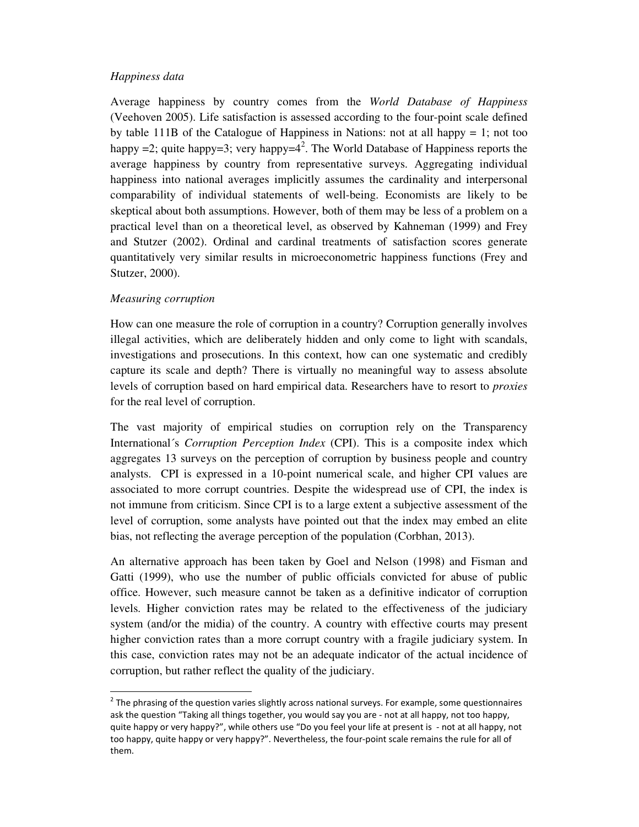#### *Happiness data*

Average happiness by country comes from the *World Database of Happiness*  (Veehoven 2005). Life satisfaction is assessed according to the four-point scale defined by table 111B of the Catalogue of Happiness in Nations: not at all happy = 1; not too happy = 2; quite happy=3; very happy= $4^2$ . The World Database of Happiness reports the average happiness by country from representative surveys. Aggregating individual happiness into national averages implicitly assumes the cardinality and interpersonal comparability of individual statements of well-being. Economists are likely to be skeptical about both assumptions. However, both of them may be less of a problem on a practical level than on a theoretical level, as observed by Kahneman (1999) and Frey and Stutzer (2002). Ordinal and cardinal treatments of satisfaction scores generate quantitatively very similar results in microeconometric happiness functions (Frey and Stutzer, 2000).

### *Measuring corruption*

 $\overline{\phantom{a}}$ 

How can one measure the role of corruption in a country? Corruption generally involves illegal activities, which are deliberately hidden and only come to light with scandals, investigations and prosecutions. In this context, how can one systematic and credibly capture its scale and depth? There is virtually no meaningful way to assess absolute levels of corruption based on hard empirical data. Researchers have to resort to *proxies* for the real level of corruption.

The vast majority of empirical studies on corruption rely on the Transparency International´s *Corruption Perception Index* (CPI). This is a composite index which aggregates 13 surveys on the perception of corruption by business people and country analysts. CPI is expressed in a 10-point numerical scale, and higher CPI values are associated to more corrupt countries. Despite the widespread use of CPI, the index is not immune from criticism. Since CPI is to a large extent a subjective assessment of the level of corruption, some analysts have pointed out that the index may embed an elite bias, not reflecting the average perception of the population (Corbhan, 2013).

An alternative approach has been taken by Goel and Nelson (1998) and Fisman and Gatti (1999), who use the number of public officials convicted for abuse of public office. However, such measure cannot be taken as a definitive indicator of corruption levels. Higher conviction rates may be related to the effectiveness of the judiciary system (and/or the midia) of the country. A country with effective courts may present higher conviction rates than a more corrupt country with a fragile judiciary system. In this case, conviction rates may not be an adequate indicator of the actual incidence of corruption, but rather reflect the quality of the judiciary.

 $2$  The phrasing of the question varies slightly across national surveys. For example, some questionnaires ask the question "Taking all things together, you would say you are - not at all happy, not too happy, quite happy or very happy?", while others use "Do you feel your life at present is - not at all happy, not too happy, quite happy or very happy?". Nevertheless, the four-point scale remains the rule for all of them.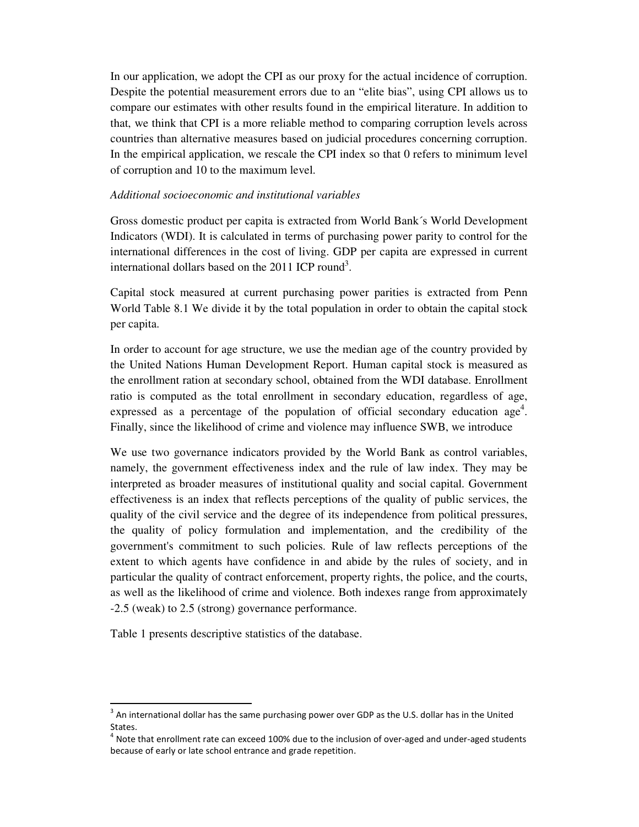In our application, we adopt the CPI as our proxy for the actual incidence of corruption. Despite the potential measurement errors due to an "elite bias", using CPI allows us to compare our estimates with other results found in the empirical literature. In addition to that, we think that CPI is a more reliable method to comparing corruption levels across countries than alternative measures based on judicial procedures concerning corruption. In the empirical application, we rescale the CPI index so that 0 refers to minimum level of corruption and 10 to the maximum level.

#### *Additional socioeconomic and institutional variables*

Gross domestic product per capita is extracted from World Bank´s World Development Indicators (WDI). It is calculated in terms of purchasing power parity to control for the international differences in the cost of living. GDP per capita are expressed in current international dollars based on the  $2011$  ICP round<sup>3</sup>.

Capital stock measured at current purchasing power parities is extracted from Penn World Table 8.1 We divide it by the total population in order to obtain the capital stock per capita.

In order to account for age structure, we use the median age of the country provided by the United Nations Human Development Report. Human capital stock is measured as the enrollment ration at secondary school, obtained from the WDI database. Enrollment ratio is computed as the total enrollment in secondary education, regardless of age, expressed as a percentage of the population of official secondary education age<sup>4</sup>. Finally, since the likelihood of crime and violence may influence SWB, we introduce

We use two governance indicators provided by the World Bank as control variables, namely, the government effectiveness index and the rule of law index. They may be interpreted as broader measures of institutional quality and social capital. Government effectiveness is an index that reflects perceptions of the quality of public services, the quality of the civil service and the degree of its independence from political pressures, the quality of policy formulation and implementation, and the credibility of the government's commitment to such policies. Rule of law reflects perceptions of the extent to which agents have confidence in and abide by the rules of society, and in particular the quality of contract enforcement, property rights, the police, and the courts, as well as the likelihood of crime and violence. Both indexes range from approximately -2.5 (weak) to 2.5 (strong) governance performance.

Table 1 presents descriptive statistics of the database.

l

 $3$  An international dollar has the same purchasing power over GDP as the U.S. dollar has in the United States.

 $<sup>4</sup>$  Note that enrollment rate can exceed 100% due to the inclusion of over-aged and under-aged students</sup> because of early or late school entrance and grade repetition.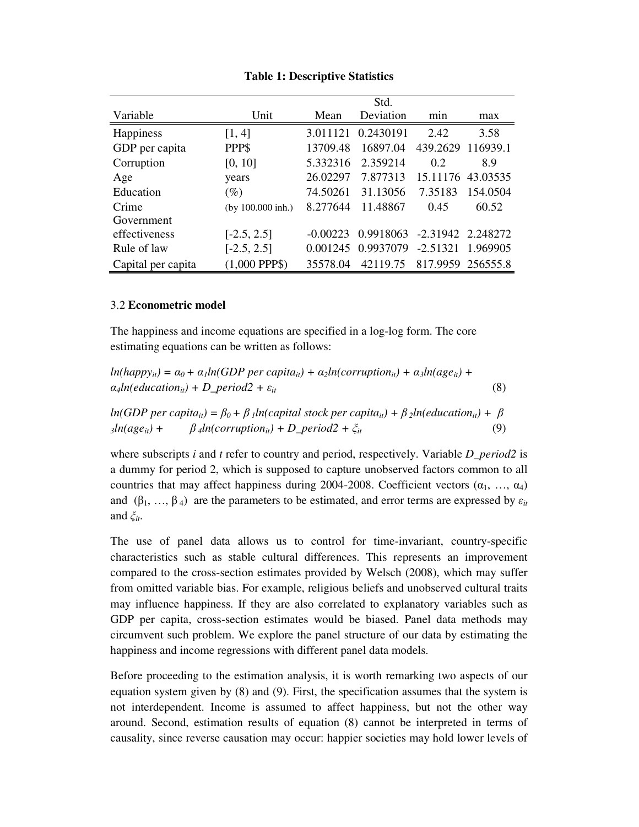|                    |                   |            | Std.      |                   |                   |
|--------------------|-------------------|------------|-----------|-------------------|-------------------|
| Variable           | Unit              | Mean       | Deviation | min               | max               |
| Happiness          | [1, 4]            | 3.011121   | 0.2430191 | 2.42              | 3.58              |
| GDP per capita     | PPP\$             | 13709.48   | 16897.04  | 439.2629          | 116939.1          |
| Corruption         | [0, 10]           | 5.332316   | 2.359214  | 0.2               | 8.9               |
| Age                | years             | 26.02297   | 7.877313  | 15.11176          | 43.03535          |
| Education          | $(\%)$            | 74.50261   | 31.13056  | 7.35183           | 154.0504          |
| Crime              | (by 100.000 inh.) | 8.277644   | 11.48867  | 0.45              | 60.52             |
| Government         |                   |            |           |                   |                   |
| effectiveness      | $[-2.5, 2.5]$     | $-0.00223$ | 0.9918063 |                   | -2.31942 2.248272 |
| Rule of law        | $[-2.5, 2.5]$     | 0.001245   | 0.9937079 | $-2.51321$        | 1.969905          |
| Capital per capita | $(1,000$ PPP\$)   | 35578.04   | 42119.75  | 817.9959 256555.8 |                   |

# **Table 1: Descriptive Statistics**

#### 3.2 **Econometric model**

The happiness and income equations are specified in a log-log form. The core estimating equations can be written as follows:

 $ln(happy_{it}) = \alpha_0 + \alpha_1 ln(GDP)$  per capita<sub>it</sub>) +  $\alpha_2 ln(corruption_{it}) + \alpha_3 ln(age_{it}) +$  $\alpha_4 ln(eduction_{it}) + D\_period2 + \varepsilon_{it}$  (8)

 $ln(GDP \text{ per } \text{capita}_{it}) = \beta_0 + \beta_1 ln(\text{capital stock } \text{ per } \text{capita}_{it}) + \beta_2 ln(\text{ education}_{it}) + \beta_3 ln(\text{equation}$  $3ln(age_{it}) + \beta_4 ln(corruption_{it}) + D\_period2 + \xi_{it}$  (9)

where subscripts *i* and *t* refer to country and period, respectively. Variable *D\_period2* is a dummy for period 2, which is supposed to capture unobserved factors common to all countries that may affect happiness during 2004-2008. Coefficient vectors  $(\alpha_1, ..., \alpha_4)$ and  $(\beta_1, ..., \beta_4)$  are the parameters to be estimated, and error terms are expressed by  $\varepsilon_{it}$ and *ξit*.

The use of panel data allows us to control for time-invariant, country-specific characteristics such as stable cultural differences. This represents an improvement compared to the cross-section estimates provided by Welsch (2008), which may suffer from omitted variable bias. For example, religious beliefs and unobserved cultural traits may influence happiness. If they are also correlated to explanatory variables such as GDP per capita, cross-section estimates would be biased. Panel data methods may circumvent such problem. We explore the panel structure of our data by estimating the happiness and income regressions with different panel data models.

Before proceeding to the estimation analysis, it is worth remarking two aspects of our equation system given by (8) and (9). First, the specification assumes that the system is not interdependent. Income is assumed to affect happiness, but not the other way around. Second, estimation results of equation (8) cannot be interpreted in terms of causality, since reverse causation may occur: happier societies may hold lower levels of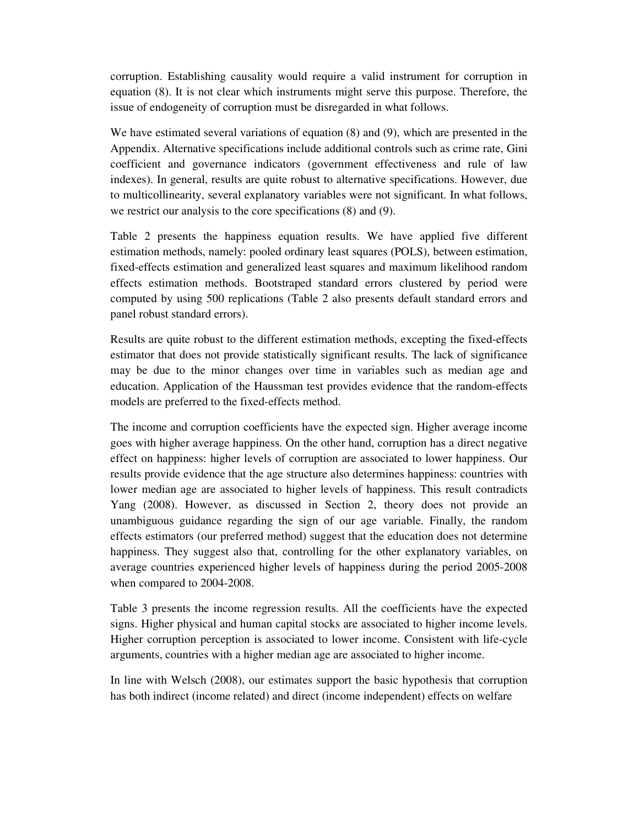corruption. Establishing causality would require a valid instrument for corruption in equation (8). It is not clear which instruments might serve this purpose. Therefore, the issue of endogeneity of corruption must be disregarded in what follows.

We have estimated several variations of equation (8) and (9), which are presented in the Appendix. Alternative specifications include additional controls such as crime rate, Gini coefficient and governance indicators (government effectiveness and rule of law indexes). In general, results are quite robust to alternative specifications. However, due to multicollinearity, several explanatory variables were not significant. In what follows, we restrict our analysis to the core specifications (8) and (9).

Table 2 presents the happiness equation results. We have applied five different estimation methods, namely: pooled ordinary least squares (POLS), between estimation, fixed-effects estimation and generalized least squares and maximum likelihood random effects estimation methods. Bootstraped standard errors clustered by period were computed by using 500 replications (Table 2 also presents default standard errors and panel robust standard errors).

Results are quite robust to the different estimation methods, excepting the fixed-effects estimator that does not provide statistically significant results. The lack of significance may be due to the minor changes over time in variables such as median age and education. Application of the Haussman test provides evidence that the random-effects models are preferred to the fixed-effects method.

The income and corruption coefficients have the expected sign. Higher average income goes with higher average happiness. On the other hand, corruption has a direct negative effect on happiness: higher levels of corruption are associated to lower happiness. Our results provide evidence that the age structure also determines happiness: countries with lower median age are associated to higher levels of happiness. This result contradicts Yang (2008). However, as discussed in Section 2, theory does not provide an unambiguous guidance regarding the sign of our age variable. Finally, the random effects estimators (our preferred method) suggest that the education does not determine happiness. They suggest also that, controlling for the other explanatory variables, on average countries experienced higher levels of happiness during the period 2005-2008 when compared to 2004-2008.

Table 3 presents the income regression results. All the coefficients have the expected signs. Higher physical and human capital stocks are associated to higher income levels. Higher corruption perception is associated to lower income. Consistent with life-cycle arguments, countries with a higher median age are associated to higher income.

In line with Welsch (2008), our estimates support the basic hypothesis that corruption has both indirect (income related) and direct (income independent) effects on welfare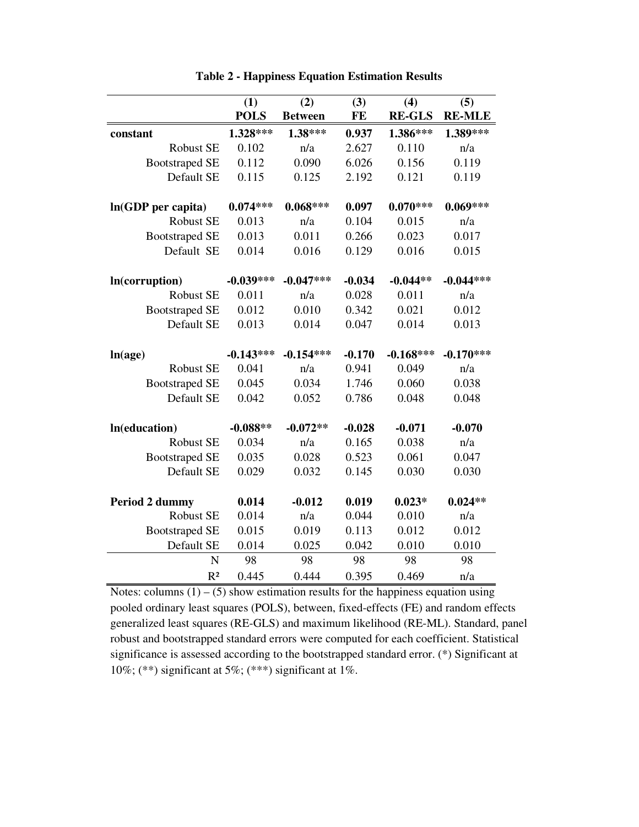|                       | (1)         | (2)            | (3)       | (4)           | (5)           |
|-----------------------|-------------|----------------|-----------|---------------|---------------|
|                       | <b>POLS</b> | <b>Between</b> | <b>FE</b> | <b>RE-GLS</b> | <b>RE-MLE</b> |
| constant              | 1.328***    | 1.38***        | 0.937     | 1.386***      | 1.389***      |
| <b>Robust SE</b>      | 0.102       | n/a            | 2.627     | 0.110         | n/a           |
| <b>Bootstraped SE</b> | 0.112       | 0.090          | 6.026     | 0.156         | 0.119         |
| Default SE            | 0.115       | 0.125          | 2.192     | 0.121         | 0.119         |
| $ln(GDP$ per capita)  | $0.074***$  | $0.068***$     | 0.097     | $0.070***$    | $0.069***$    |
| <b>Robust SE</b>      | 0.013       | n/a            | 0.104     | 0.015         | n/a           |
| <b>Bootstraped SE</b> | 0.013       | 0.011          | 0.266     | 0.023         | 0.017         |
| Default SE            | 0.014       | 0.016          | 0.129     | 0.016         | 0.015         |
| In(corruption)        | $-0.039***$ | $-0.047***$    | $-0.034$  | $-0.044**$    | $-0.044***$   |
| <b>Robust SE</b>      | 0.011       | n/a            | 0.028     | 0.011         | n/a           |
| <b>Bootstraped SE</b> | 0.012       | 0.010          | 0.342     | 0.021         | 0.012         |
| Default SE            | 0.013       | 0.014          | 0.047     | 0.014         | 0.013         |
| ln(age)               | $-0.143***$ | $-0.154***$    | $-0.170$  | $-0.168***$   | $-0.170***$   |
| Robust SE             | 0.041       | n/a            | 0.941     | 0.049         | n/a           |
| <b>Bootstraped SE</b> | 0.045       | 0.034          | 1.746     | 0.060         | 0.038         |
| Default SE            | 0.042       | 0.052          | 0.786     | 0.048         | 0.048         |
| In(education)         | $-0.088**$  | $-0.072**$     | $-0.028$  | $-0.071$      | $-0.070$      |
| <b>Robust SE</b>      | 0.034       | n/a            | 0.165     | 0.038         | n/a           |
| <b>Bootstraped SE</b> | 0.035       | 0.028          | 0.523     | 0.061         | 0.047         |
| Default SE            | 0.029       | 0.032          | 0.145     | 0.030         | 0.030         |
| Period 2 dummy        | 0.014       | $-0.012$       | 0.019     | $0.023*$      | $0.024**$     |
| <b>Robust SE</b>      | 0.014       | n/a            | 0.044     | 0.010         | n/a           |
| <b>Bootstraped SE</b> | 0.015       | 0.019          | 0.113     | 0.012         | 0.012         |
| Default SE            | 0.014       | 0.025          | 0.042     | 0.010         | 0.010         |
| N                     | 98          | 98             | 98        | 98            | 98            |
| R <sup>2</sup>        | 0.445       | 0.444          | 0.395     | 0.469         | n/a           |

**Table 2 - Happiness Equation Estimation Results** 

Notes: columns  $(1) - (5)$  show estimation results for the happiness equation using pooled ordinary least squares (POLS), between, fixed-effects (FE) and random effects generalized least squares (RE-GLS) and maximum likelihood (RE-ML). Standard, panel robust and bootstrapped standard errors were computed for each coefficient. Statistical significance is assessed according to the bootstrapped standard error. (\*) Significant at 10%; (\*\*) significant at 5%; (\*\*\*) significant at 1%.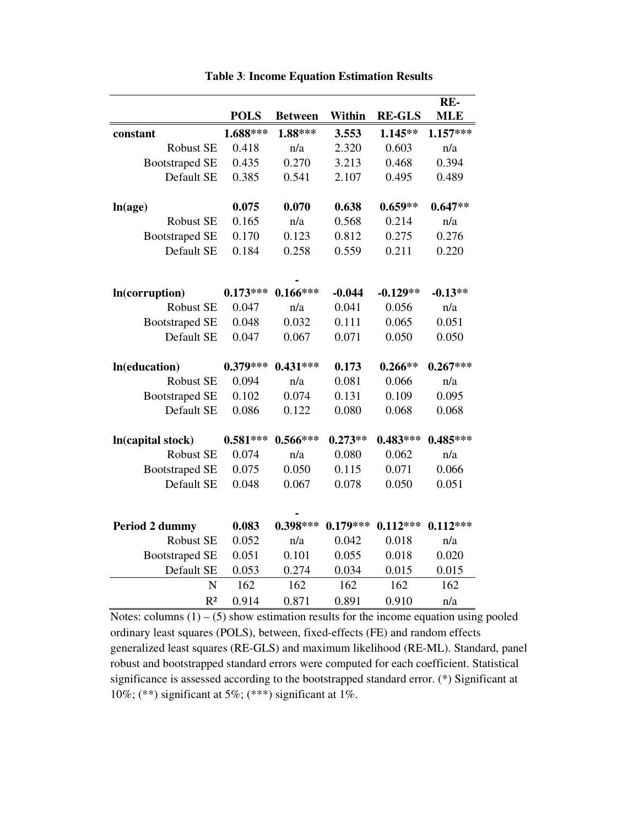|                       |             |                |            |               | RE-        |
|-----------------------|-------------|----------------|------------|---------------|------------|
|                       | <b>POLS</b> | <b>Between</b> | Within     | <b>RE-GLS</b> | <b>MLE</b> |
| constant              | $1.688***$  | 1.88***        | 3.553      | $1.145**$     | $1.157***$ |
| Robust SE             | 0.418       | n/a            | 2.320      | 0.603         | n/a        |
| <b>Bootstraped SE</b> | 0.435       | 0.270          | 3.213      | 0.468         | 0.394      |
| Default SE            | 0.385       | 0.541          | 2.107      | 0.495         | 0.489      |
|                       |             |                |            |               |            |
| ln(age)               | 0.075       | 0.070          | 0.638      | $0.659**$     | $0.647**$  |
| <b>Robust SE</b>      | 0.165       | n/a            | 0.568      | 0.214         | n/a        |
| <b>Bootstraped SE</b> | 0.170       | 0.123          | 0.812      | 0.275         | 0.276      |
| Default SE            | 0.184       | 0.258          | 0.559      | 0.211         | 0.220      |
|                       |             |                |            |               |            |
|                       |             |                |            |               |            |
| In(corruption)        | $0.173***$  | $0.166***$     | $-0.044$   | $-0.129**$    | $-0.13**$  |
| <b>Robust SE</b>      | 0.047       | n/a            | 0.041      | 0.056         | n/a        |
| <b>Bootstraped SE</b> | 0.048       | 0.032          | 0.111      | 0.065         | 0.051      |
| Default SE            | 0.047       | 0.067          | 0.071      | 0.050         | 0.050      |
|                       |             |                |            |               |            |
| In(education)         | $0.379***$  | $0.431***$     | 0.173      | $0.266**$     | $0.267***$ |
| <b>Robust SE</b>      | 0.094       | n/a            | 0.081      | 0.066         | n/a        |
| <b>Bootstraped SE</b> | 0.102       | 0.074          | 0.131      | 0.109         | 0.095      |
| Default SE            | 0.086       | 0.122          | 0.080      | 0.068         | 0.068      |
|                       |             |                |            |               |            |
| In(capital stock)     | $0.581***$  | $0.566***$     | $0.273**$  | $0.483***$    | $0.485***$ |
| <b>Robust SE</b>      | 0.074       | n/a            | 0.080      | 0.062         | n/a        |
| <b>Bootstraped SE</b> | 0.075       | 0.050          | 0.115      | 0.071         | 0.066      |
| Default SE            | 0.048       | 0.067          | 0.078      | 0.050         | 0.051      |
|                       |             |                |            |               |            |
|                       |             |                |            |               |            |
| <b>Period 2 dummy</b> | 0.083       | $0.398***$     | $0.179***$ | $0.112***$    | $0.112***$ |
| <b>Robust SE</b>      | 0.052       | n/a            | 0.042      | 0.018         | n/a        |
| <b>Bootstraped SE</b> | 0.051       | 0.101          | 0.055      | 0.018         | 0.020      |
| Default SE            | 0.053       | 0.274          | 0.034      | 0.015         | 0.015      |
| N                     | 162         | 162            | 162        | 162           | 162        |
| R <sup>2</sup>        | 0.914       | 0.871          | 0.891      | 0.910         | n/a        |

**Table 3**: **Income Equation Estimation Results**

Notes: columns  $(1) - (5)$  show estimation results for the income equation using pooled ordinary least squares (POLS), between, fixed-effects (FE) and random effects generalized least squares (RE-GLS) and maximum likelihood (RE-ML). Standard, panel robust and bootstrapped standard errors were computed for each coefficient. Statistical significance is assessed according to the bootstrapped standard error. (\*) Significant at 10%; (\*\*) significant at 5%; (\*\*\*) significant at 1%.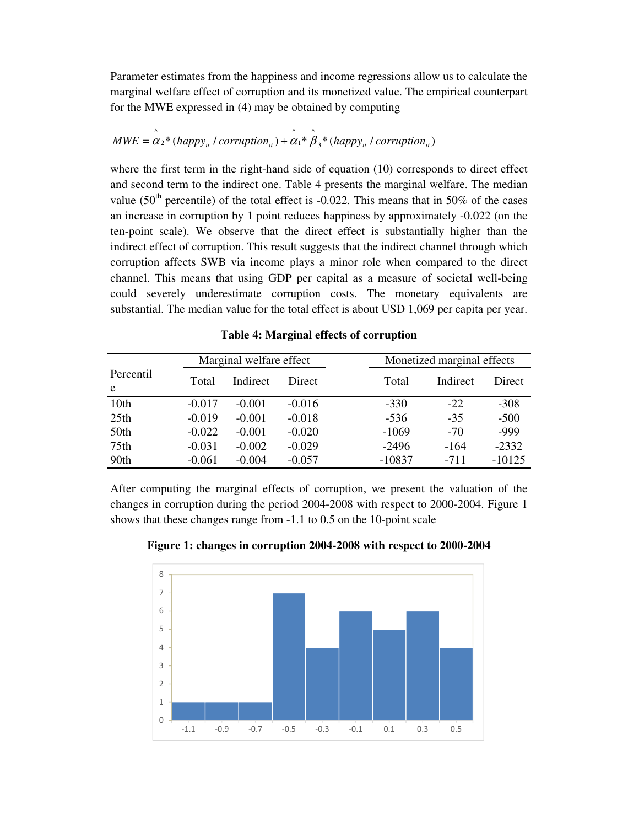Parameter estimates from the happiness and income regressions allow us to calculate the marginal welfare effect of corruption and its monetized value. The empirical counterpart for the MWE expressed in (4) may be obtained by computing

$$
MWE = \hat{\alpha}_2^*(happy_i / corruption_{ii}) + \hat{\alpha}_1^* \hat{\beta}_3^*(happy_i / corruption_{ii})
$$

where the first term in the right-hand side of equation (10) corresponds to direct effect and second term to the indirect one. Table 4 presents the marginal welfare. The median value (50<sup>th</sup> percentile) of the total effect is -0.022. This means that in 50% of the cases an increase in corruption by 1 point reduces happiness by approximately -0.022 (on the ten-point scale). We observe that the direct effect is substantially higher than the indirect effect of corruption. This result suggests that the indirect channel through which corruption affects SWB via income plays a minor role when compared to the direct channel. This means that using GDP per capital as a measure of societal well-being could severely underestimate corruption costs. The monetary equivalents are substantial. The median value for the total effect is about USD 1,069 per capita per year.

|                  |          | Marginal welfare effect |          | Monetized marginal effects |          |          |          |
|------------------|----------|-------------------------|----------|----------------------------|----------|----------|----------|
| Percentil<br>e   | Total    | Indirect                | Direct   |                            | Total    | Indirect | Direct   |
| 10 <sub>th</sub> | $-0.017$ | $-0.001$                | $-0.016$ |                            | $-330$   | $-22$    | $-308$   |
| 25 <sub>th</sub> | $-0.019$ | $-0.001$                | $-0.018$ |                            | $-536$   | $-35$    | $-500$   |
| 50th             | $-0.022$ | $-0.001$                | $-0.020$ |                            | $-1069$  | $-70$    | $-999$   |
| 75th             | $-0.031$ | $-0.002$                | $-0.029$ |                            | $-2496$  | $-164$   | $-2332$  |
| 90th             | $-0.061$ | $-0.004$                | $-0.057$ |                            | $-10837$ | $-711$   | $-10125$ |

**Table 4: Marginal effects of corruption** 

After computing the marginal effects of corruption, we present the valuation of the changes in corruption during the period 2004-2008 with respect to 2000-2004. Figure 1 shows that these changes range from -1.1 to 0.5 on the 10-point scale



**Figure 1: changes in corruption 2004-2008 with respect to 2000-2004**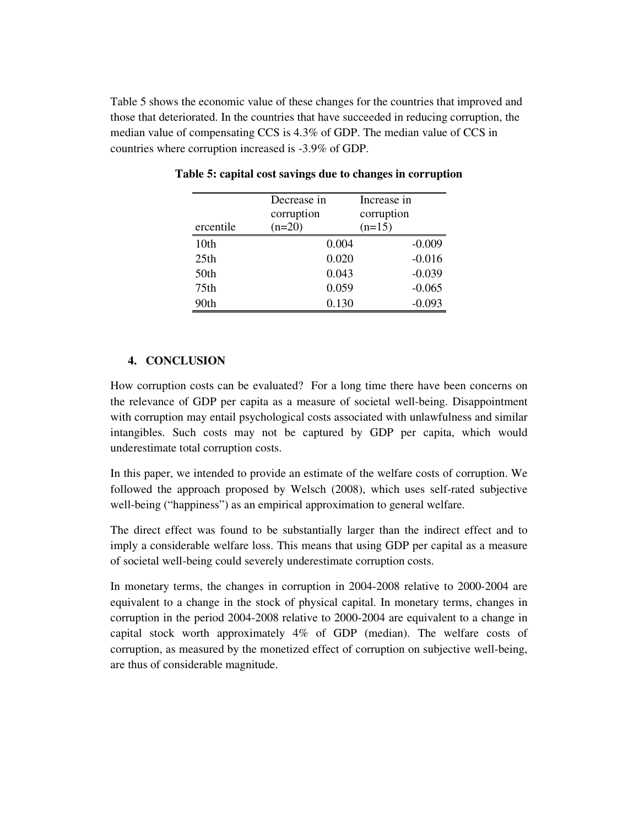Table 5 shows the economic value of these changes for the countries that improved and those that deteriorated. In the countries that have succeeded in reducing corruption, the median value of compensating CCS is 4.3% of GDP. The median value of CCS in countries where corruption increased is -3.9% of GDP.

| ercentile        | Decrease in<br>corruption<br>$(n=20)$ | Increase in<br>corruption<br>$(n=15)$ |
|------------------|---------------------------------------|---------------------------------------|
| 10th             | 0.004                                 | $-0.009$                              |
| 25 <sub>th</sub> | 0.020                                 | $-0.016$                              |
| 50th             | 0.043                                 | $-0.039$                              |
| 75 <sub>th</sub> | 0.059                                 | $-0.065$                              |
| 90th             | 0.130                                 | $-0.093$                              |

**Table 5: capital cost savings due to changes in corruption** 

# **4. CONCLUSION**

How corruption costs can be evaluated? For a long time there have been concerns on the relevance of GDP per capita as a measure of societal well-being. Disappointment with corruption may entail psychological costs associated with unlawfulness and similar intangibles. Such costs may not be captured by GDP per capita, which would underestimate total corruption costs.

In this paper, we intended to provide an estimate of the welfare costs of corruption. We followed the approach proposed by Welsch (2008), which uses self-rated subjective well-being ("happiness") as an empirical approximation to general welfare.

The direct effect was found to be substantially larger than the indirect effect and to imply a considerable welfare loss. This means that using GDP per capital as a measure of societal well-being could severely underestimate corruption costs.

In monetary terms, the changes in corruption in 2004-2008 relative to 2000-2004 are equivalent to a change in the stock of physical capital. In monetary terms, changes in corruption in the period 2004-2008 relative to 2000-2004 are equivalent to a change in capital stock worth approximately 4% of GDP (median). The welfare costs of corruption, as measured by the monetized effect of corruption on subjective well-being, are thus of considerable magnitude.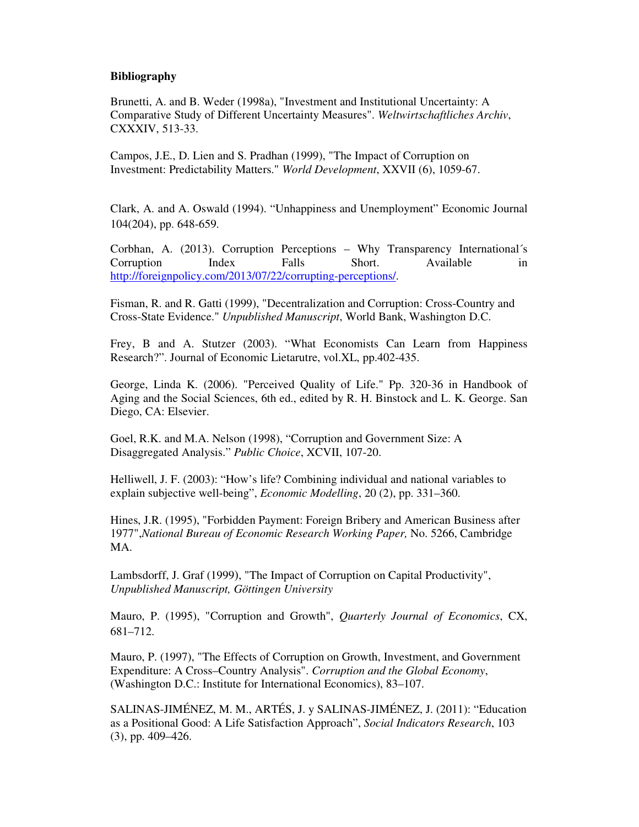#### **Bibliography**

Brunetti, A. and B. Weder (1998a), "Investment and Institutional Uncertainty: A Comparative Study of Different Uncertainty Measures". *Weltwirtschaftliches Archiv*, CXXXIV, 513-33.

Campos, J.E., D. Lien and S. Pradhan (1999), "The Impact of Corruption on Investment: Predictability Matters." *World Development*, XXVII (6), 1059-67.

Clark, A. and A. Oswald (1994). "Unhappiness and Unemployment" Economic Journal 104(204), pp. 648-659.

Corbhan, A. (2013). Corruption Perceptions – Why Transparency International´s Corruption Index Falls Short. Available in http://foreignpolicy.com/2013/07/22/corrupting-perceptions/.

Fisman, R. and R. Gatti (1999), "Decentralization and Corruption: Cross-Country and Cross-State Evidence." *Unpublished Manuscript*, World Bank, Washington D.C.

Frey, B and A. Stutzer (2003). "What Economists Can Learn from Happiness Research?". Journal of Economic Lietarutre, vol.XL, pp.402-435.

George, Linda K. (2006). "Perceived Quality of Life." Pp. 320-36 in Handbook of Aging and the Social Sciences, 6th ed., edited by R. H. Binstock and L. K. George. San Diego, CA: Elsevier.

Goel, R.K. and M.A. Nelson (1998), "Corruption and Government Size: A Disaggregated Analysis." *Public Choice*, XCVII, 107-20.

Helliwell, J. F. (2003): "How's life? Combining individual and national variables to explain subjective well-being", *Economic Modelling*, 20 (2), pp. 331–360.

Hines, J.R. (1995), "Forbidden Payment: Foreign Bribery and American Business after 1977",*National Bureau of Economic Research Working Paper,* No. 5266, Cambridge MA.

Lambsdorff, J. Graf (1999), "The Impact of Corruption on Capital Productivity", *Unpublished Manuscript, Göttingen University* 

Mauro, P. (1995), "Corruption and Growth", *Quarterly Journal of Economics*, CX, 681–712.

Mauro, P. (1997), "The Effects of Corruption on Growth, Investment, and Government Expenditure: A Cross–Country Analysis". *Corruption and the Global Economy*, (Washington D.C.: Institute for International Economics), 83–107.

SALINAS-JIMÉNEZ, M. M., ARTÉS, J. y SALINAS-JIMÉNEZ, J. (2011): "Education as a Positional Good: A Life Satisfaction Approach", *Social Indicators Research*, 103 (3), pp. 409–426.